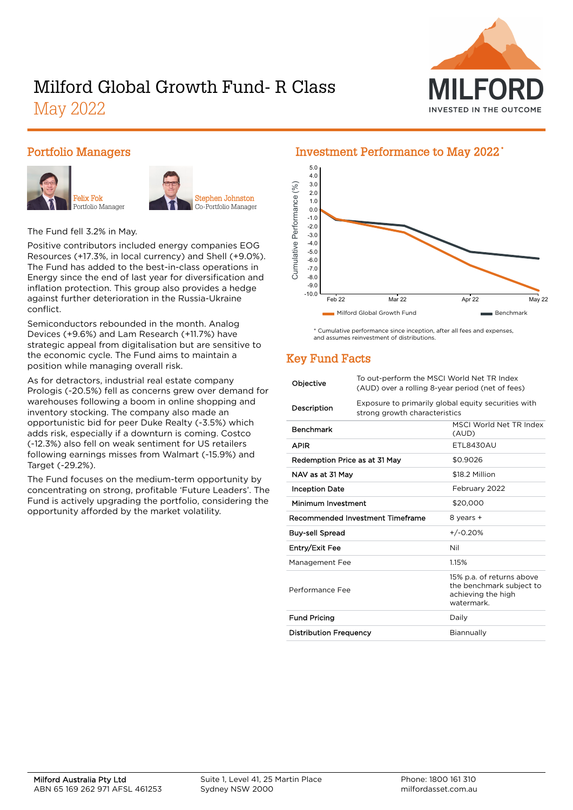# Milford Global Growth Fund- R Class

May 2022



#### Portfolio Managers





The Fund fell 3.2% in May.

Positive contributors included energy companies EOG Resources (+17.3%, in local currency) and Shell (+9.0%). The Fund has added to the best-in-class operations in Energy since the end of last year for diversification and inflation protection. This group also provides a hedge against further deterioration in the Russia-Ukraine conflict.

Semiconductors rebounded in the month. Analog Devices (+9.6%) and Lam Research (+11.7%) have strategic appeal from digitalisation but are sensitive to the economic cycle. The Fund aims to maintain a position while managing overall risk.

As for detractors, industrial real estate company Prologis (-20.5%) fell as concerns grew over demand for warehouses following a boom in online shopping and inventory stocking. The company also made an opportunistic bid for peer Duke Realty (-3.5%) which adds risk, especially if a downturn is coming. Costco (-12.3%) also fell on weak sentiment for US retailers following earnings misses from Walmart (-15.9%) and Target (-29.2%).

The Fund focuses on the medium-term opportunity by concentrating on strong, profitable 'Future Leaders'. The Fund is actively upgrading the portfolio, considering the opportunity afforded by the market volatility.



\* Cumulative performance since inception, after all fees and expenses, and assumes reinvestment of distributions.

## Key Fund Facts

| Objective                     | To out-perform the MSCI World Net TR Index<br>(AUD) over a rolling 8-year period (net of fees) |                                                                                           |  |  |
|-------------------------------|------------------------------------------------------------------------------------------------|-------------------------------------------------------------------------------------------|--|--|
| Description                   | Exposure to primarily global equity securities with<br>strong growth characteristics           |                                                                                           |  |  |
| <b>Benchmark</b>              |                                                                                                | MSCI World Net TR Index<br>(AUD)                                                          |  |  |
| <b>APIR</b>                   |                                                                                                | <b>FTI 8430AU</b>                                                                         |  |  |
| Redemption Price as at 31 May |                                                                                                | \$0.9026                                                                                  |  |  |
| NAV as at 31 May              |                                                                                                | \$18.2 Million                                                                            |  |  |
| <b>Inception Date</b>         |                                                                                                | February 2022                                                                             |  |  |
| Minimum Investment            |                                                                                                | \$20,000                                                                                  |  |  |
|                               | Recommended Investment Timeframe                                                               | 8 years +                                                                                 |  |  |
| <b>Buy-sell Spread</b>        |                                                                                                | $+/-0.20%$                                                                                |  |  |
| Entry/Exit Fee                |                                                                                                | Nil                                                                                       |  |  |
| Management Fee                |                                                                                                | 1.15%                                                                                     |  |  |
| Performance Fee               |                                                                                                | 15% p.a. of returns above<br>the benchmark subject to<br>achieving the high<br>watermark. |  |  |
| <b>Fund Pricing</b>           |                                                                                                | Daily                                                                                     |  |  |
| <b>Distribution Frequency</b> |                                                                                                | Biannually                                                                                |  |  |
|                               |                                                                                                |                                                                                           |  |  |